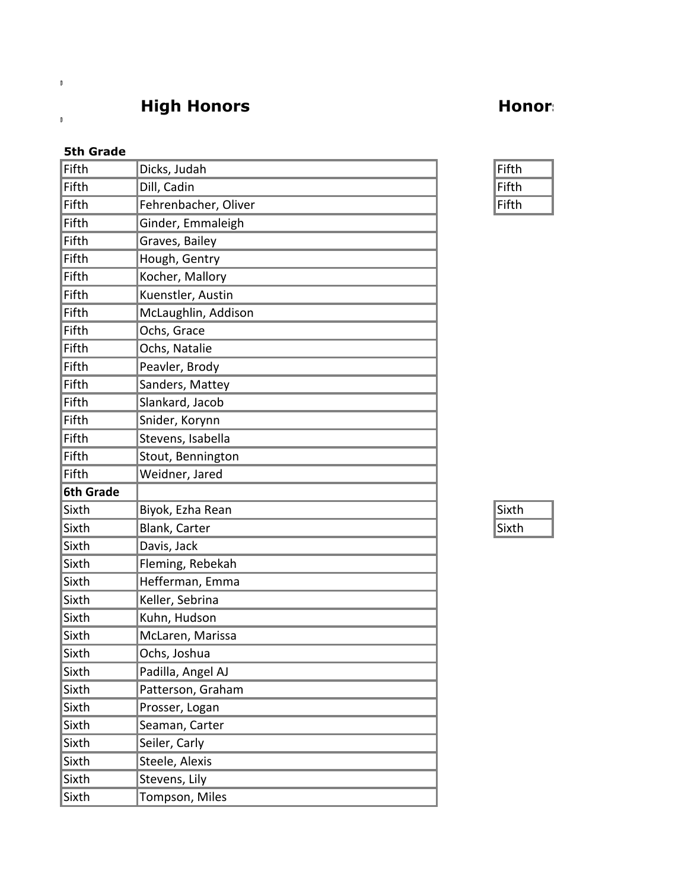## **High Honors Honors**

## **5th Grade**

 $\mathbb{F}^{\mathbb{Z}}$ 

 $\mathbb{L}$ 

| Fifth            | Dicks, Judah         | Fifth |
|------------------|----------------------|-------|
| Fifth            | Dill, Cadin          | Fifth |
| Fifth            | Fehrenbacher, Oliver | Fifth |
| Fifth            | Ginder, Emmaleigh    |       |
| Fifth            | Graves, Bailey       |       |
| Fifth            | Hough, Gentry        |       |
| Fifth            | Kocher, Mallory      |       |
| Fifth            | Kuenstler, Austin    |       |
| Fifth            | McLaughlin, Addison  |       |
| Fifth            | Ochs, Grace          |       |
| Fifth            | Ochs, Natalie        |       |
| Fifth            | Peavler, Brody       |       |
| Fifth            | Sanders, Mattey      |       |
| Fifth            | Slankard, Jacob      |       |
| Fifth            | Snider, Korynn       |       |
| Fifth            | Stevens, Isabella    |       |
| Fifth            | Stout, Bennington    |       |
| Fifth            | Weidner, Jared       |       |
| <b>6th Grade</b> |                      |       |
| Sixth            | Biyok, Ezha Rean     | Sixth |
| Sixth            | Blank, Carter        | Sixth |
| Sixth            | Davis, Jack          |       |
| Sixth            | Fleming, Rebekah     |       |
| Sixth            | Hefferman, Emma      |       |
| Sixth            | Keller, Sebrina      |       |
| Sixth            | Kuhn, Hudson         |       |
| Sixth            | McLaren, Marissa     |       |
| Sixth            | Ochs, Joshua         |       |
| Sixth            | Padilla, Angel AJ    |       |
| Sixth            | Patterson, Graham    |       |
| Sixth            | Prosser, Logan       |       |
| Sixth            | Seaman, Carter       |       |
| Sixth            | Seiler, Carly        |       |
| Sixth            | Steele, Alexis       |       |
| Sixth            | Stevens, Lily        |       |
| Sixth            | Tompson, Miles       |       |

| Fifth |  |
|-------|--|
| Fifth |  |
| Fifth |  |

| ιχι<br>L<br>ı |  |
|---------------|--|
| х<br>ı<br>U   |  |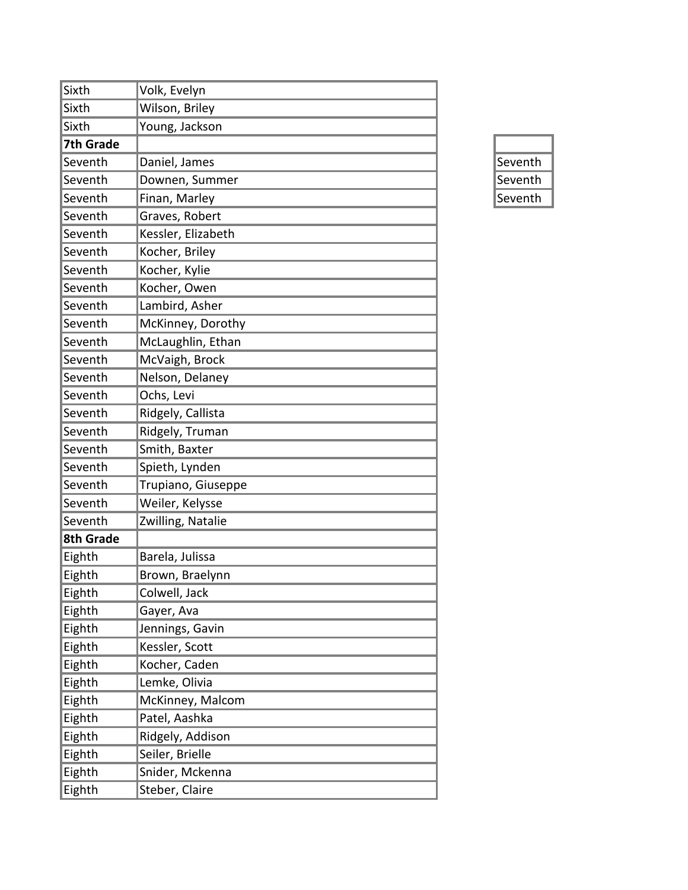| Sixth     | Volk, Evelyn       |         |
|-----------|--------------------|---------|
| Sixth     | Wilson, Briley     |         |
| Sixth     | Young, Jackson     |         |
| 7th Grade |                    |         |
| Seventh   | Daniel, James      | Seventh |
| Seventh   | Downen, Summer     | Seventh |
| Seventh   | Finan, Marley      | Seventh |
| Seventh   | Graves, Robert     |         |
| Seventh   | Kessler, Elizabeth |         |
| Seventh   | Kocher, Briley     |         |
| Seventh   | Kocher, Kylie      |         |
| Seventh   | Kocher, Owen       |         |
| Seventh   | Lambird, Asher     |         |
| Seventh   | McKinney, Dorothy  |         |
| Seventh   | McLaughlin, Ethan  |         |
| Seventh   | McVaigh, Brock     |         |
| Seventh   | Nelson, Delaney    |         |
| Seventh   | Ochs, Levi         |         |
| Seventh   | Ridgely, Callista  |         |
| Seventh   | Ridgely, Truman    |         |
| Seventh   | Smith, Baxter      |         |
| Seventh   | Spieth, Lynden     |         |
| Seventh   | Trupiano, Giuseppe |         |
| Seventh   | Weiler, Kelysse    |         |
| Seventh   | Zwilling, Natalie  |         |
| 8th Grade |                    |         |
| Eighth    | Barela, Julissa    |         |
| Eighth    | Brown, Braelynn    |         |
| Eighth    | Colwell, Jack      |         |
| Eighth    | Gayer, Ava         |         |
| Eighth    | Jennings, Gavin    |         |
| Eighth    | Kessler, Scott     |         |
| Eighth    | Kocher, Caden      |         |
| Eighth    | Lemke, Olivia      |         |
| Eighth    | McKinney, Malcom   |         |
| Eighth    | Patel, Aashka      |         |
| Eighth    | Ridgely, Addison   |         |
| Eighth    | Seiler, Brielle    |         |
| Eighth    | Snider, Mckenna    |         |
| Eighth    | Steber, Claire     |         |

| Seventh |
|---------|
| Seventh |
| Seventh |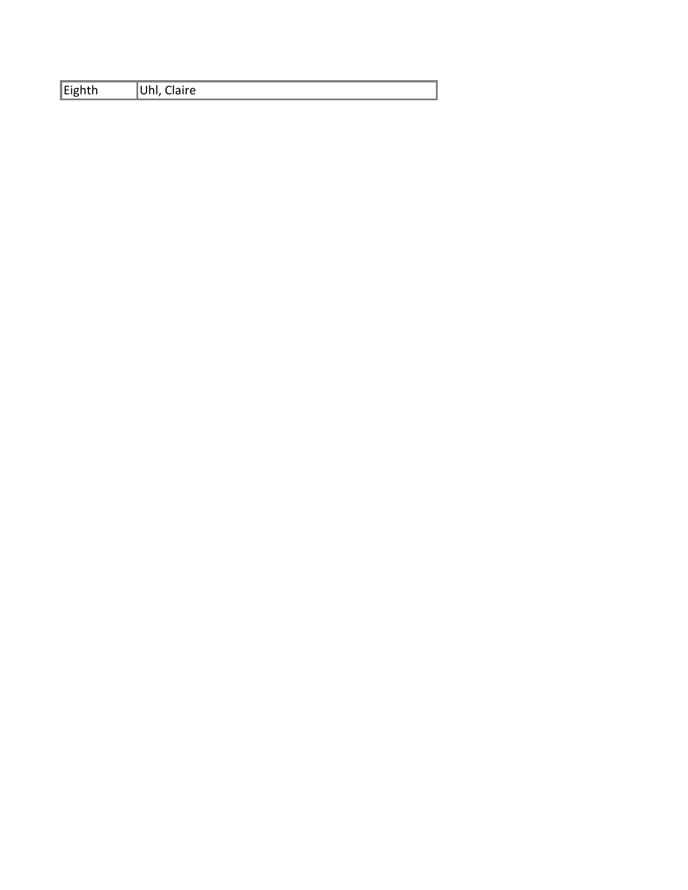| Claire<br>. . |
|---------------|
|               |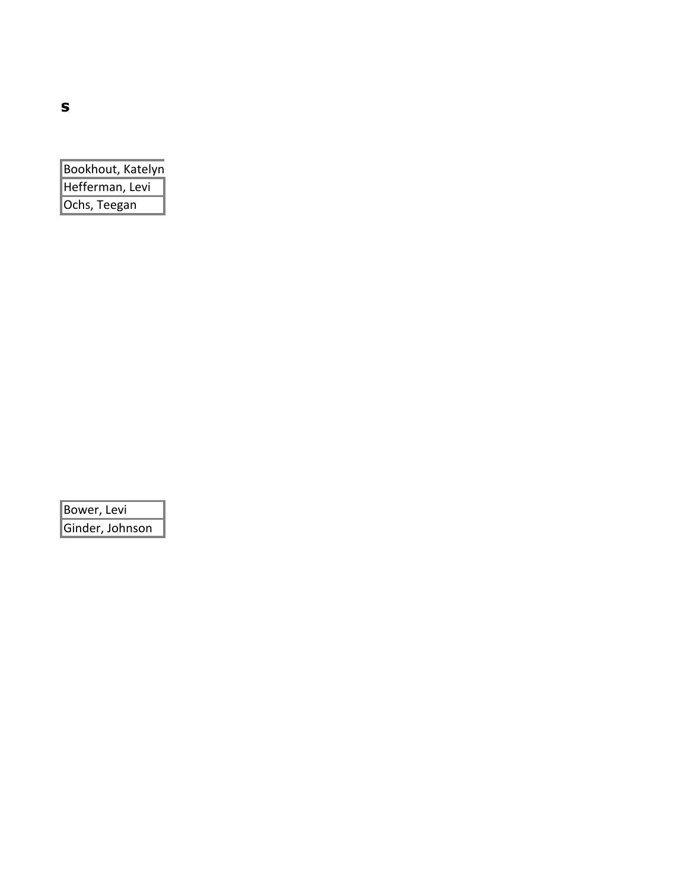| Bookhout, Katelyn |  |
|-------------------|--|
| Hefferman, Levi   |  |
| Ochs, Teegan      |  |

Bower, Levi Ginder, Johnson